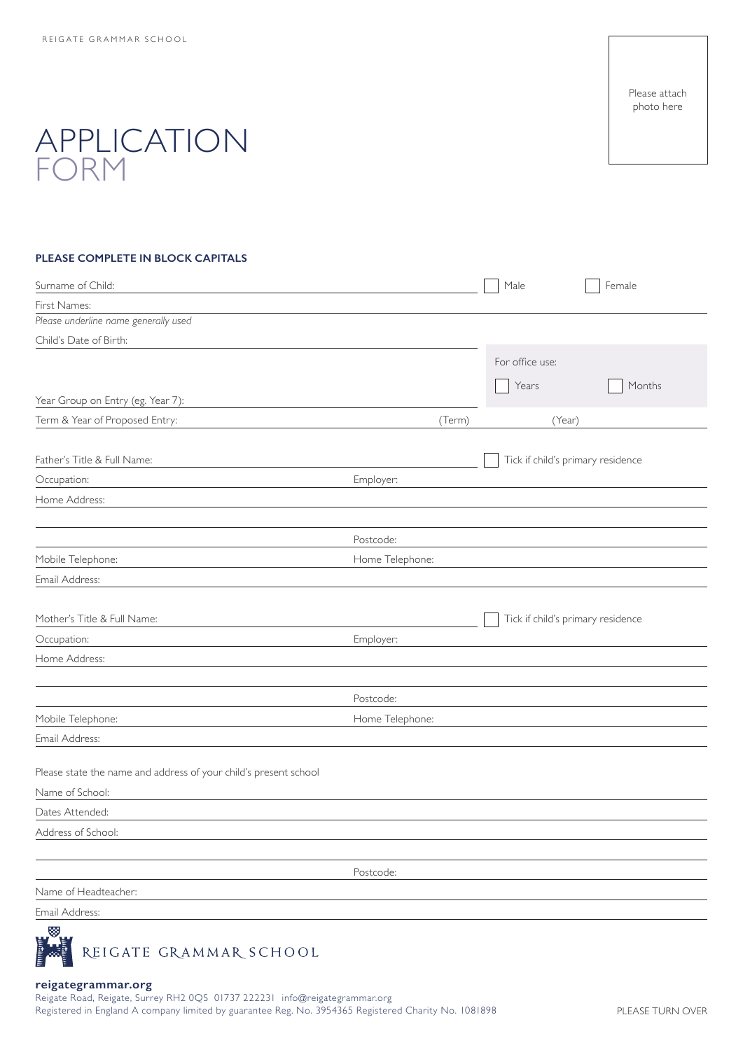Please attach photo here

# APPLICATION FORM

### **PLEASE COMPLETE IN BLOCK CAPITALS**

| Surname of Child:                                                |                 |        | Male                              | Female |
|------------------------------------------------------------------|-----------------|--------|-----------------------------------|--------|
| First Names:                                                     |                 |        |                                   |        |
| Please underline name generally used                             |                 |        |                                   |        |
| Child's Date of Birth:                                           |                 |        |                                   |        |
|                                                                  |                 |        | For office use:                   |        |
|                                                                  |                 |        | Years                             | Months |
| Year Group on Entry (eg. Year 7):                                |                 |        |                                   |        |
| Term & Year of Proposed Entry:                                   |                 | (Term) | (Year)                            |        |
|                                                                  |                 |        |                                   |        |
| Father's Title & Full Name:                                      |                 |        | Tick if child's primary residence |        |
| Occupation:                                                      | Employer:       |        |                                   |        |
| Home Address:                                                    |                 |        |                                   |        |
|                                                                  |                 |        |                                   |        |
|                                                                  | Postcode:       |        |                                   |        |
| Mobile Telephone:                                                | Home Telephone: |        |                                   |        |
| Email Address:                                                   |                 |        |                                   |        |
|                                                                  |                 |        |                                   |        |
| Mother's Title & Full Name:                                      |                 |        | Tick if child's primary residence |        |
| Occupation:                                                      | Employer:       |        |                                   |        |
| Home Address:                                                    |                 |        |                                   |        |
|                                                                  |                 |        |                                   |        |
|                                                                  | Postcode:       |        |                                   |        |
| Mobile Telephone:                                                | Home Telephone: |        |                                   |        |
| Email Address:                                                   |                 |        |                                   |        |
|                                                                  |                 |        |                                   |        |
| Please state the name and address of your child's present school |                 |        |                                   |        |
| Name of School:                                                  |                 |        |                                   |        |
| Dates Attended:                                                  |                 |        |                                   |        |
| Address of School:                                               |                 |        |                                   |        |
|                                                                  |                 |        |                                   |        |
|                                                                  | Postcode:       |        |                                   |        |
| Name of Headteacher:                                             |                 |        |                                   |        |
| Email Address:                                                   |                 |        |                                   |        |
| 5551                                                             |                 |        |                                   |        |



#### **reigategrammar.org**

Reigate Road, Reigate, Surrey RH2 0QS 01737 222231 info@reigategrammar.org Registered in England A company limited by guarantee Reg. No. 3954365 Registered Charity No. 1081898